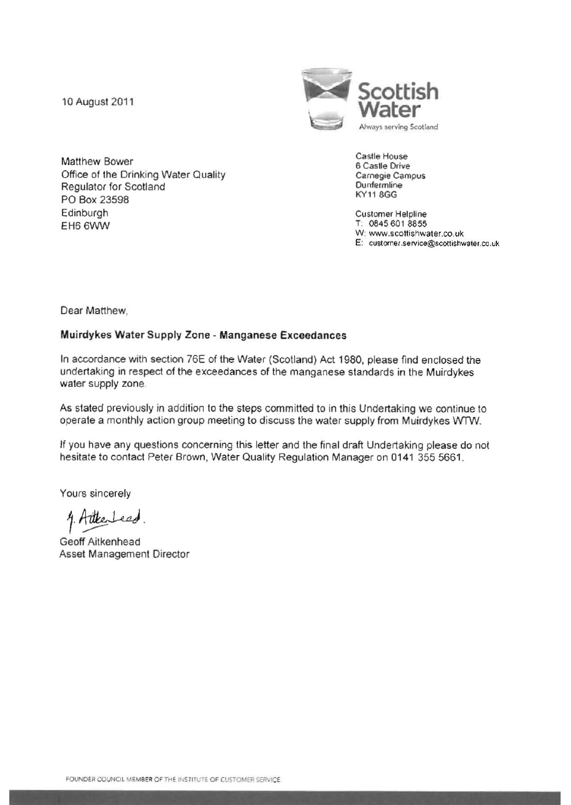

Matthew Bower<br>
Office of the Drinking Water Quality<br>
Office of the Drinking Water Quality<br>
Carnegie Campus Office of the Drinking Water Quality **Campus** Carnegie Campus Carnegie Campus Carnegie Campus Carnegie Campus Campus Campus Campus Campus Campus Campus Campus Campus Campus Campus Campus Campus Campus Campus Campus Campus Regulator for Scotland Dunfermline<br>
Regulator for Scotland Dunfermline<br>
Regulator 2000 PO Box 23598 Edinburgh Customer Helpline EH6 6WW T: 0845 601 8855

W: www.scottishwater.co.uk E: customer.service@scottishwater,co.uk

Dear Matthew,

## Muirdykes Water Supply Zone - Manganese Exceedances

In accordance with section 76E of the Water (Scotland) Act 1980, please find enclosed the undertaking in respect of the exceedances of the manganese standards in the Muirdykes water supply zone.

As stated previously in addition to the steps committed to in this Undertaking we continue to operate a monthly action group meeting to discuss the water supply from Muirdykes WTW.

If you have any questions concerning this tetter and the final draft Undertaking please do not hesitate to contact Peter Brown, Water Quality Regulation Manager on 0141 355 5661.

Yours sincerely

4. Attenbeed.<br>Geoff Aitkenhead

Asset Management Director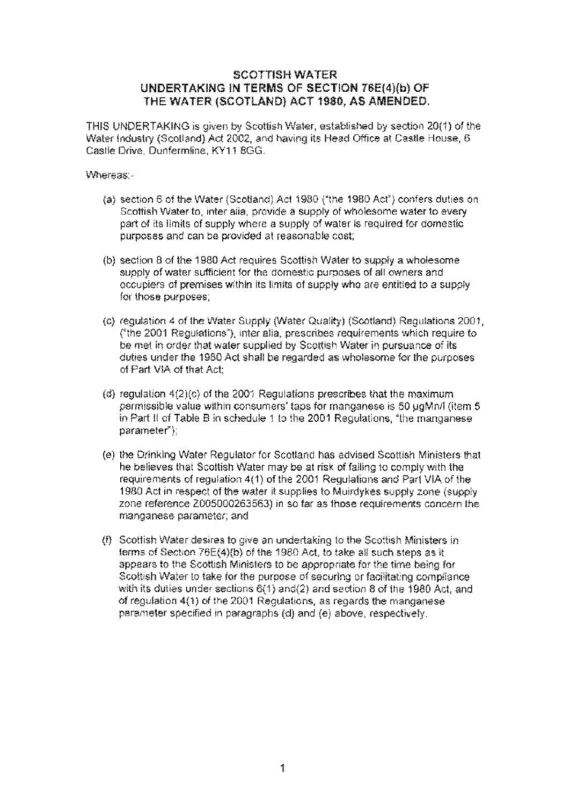## SCOTTISH WATER UNDERTAKING IN TERMS OF SECTION 7SE(4)(b) OF THE WATER (SCOTLAND) ACT 1980, AS AMENDED,

THIS UNDERTAKING is given by Scottish Water, established by section 20(1) 01 the Water Industry (Scotland) Act 2002, and having its Head Office at Castle House, 6 Castle Drive, Dunfermline, KY11 8GG.

Whereas:-

- (a) section 6 of the Water (Scotland) Act 1980 ("the 1980 Act") confers duties on Scottish Water to, inter alia, provide a supply of wholesome water to every part of its limits of supply where a supply of water is required for domestic purposes and can be provided at reasonable cost;
- (b) section 8 of the 1980 Act requires Scottish Water to supply a wholesome supply of water sufficient for the domestic purposes of all owners and occupiers of premises within its limits of supply who are entitled to a supply for those purposes;
- (c) regulation 4 of the Water Supply (Water Quality) (Scotland) Regulations 2001, (<sup>e</sup>the 2001 Regulations<sup>\*</sup>), inter alia, prescribes requirements which require to be met in order that water supplied by Scottish Water in pursuance of its duties under the 1980 Act shall be regarded as wholesome for the purposes of Part VIA of that Act:
- (d) regulation  $4(2)(c)$  of the 2001 Regulations prescribes that the maximum permissible value within consumers' taps for manganese is 50 ugMn/I (item 5) in Part II of Table B in schedule 1 to the 2001 Regulations, "the manganese parameter);
- (e) the Drinking Water Regulator for Scotland has advised Scottish Ministers that he believes that Scottish Water may be at risk of failing 10 comply with the requirements of regulation 4(1) of the 2001 Regulations and Par1 VIA of the 1980 Act in respect of the water it supplies to Muirdykes supply zone (supply zone reference 2005000263563) in so far as those requirements concern the manganese parameter; and
- (f) Scottish Water desires to give an undertaking to the Scottish Ministers in terms of Section 76E(4)(b) of the 1980 Act to take all such steps as it appears to the Scottish Ministers to be appropriate for the time being for Scottish Water to take for the purpose of securing or facilitating compliance with its duties under sections 6(1} and(2) and section 8 of lhe 1980 Act, and of regulation 4(1) of the 2001 Regulations, as regards the manganese parameter specified in paragraphs (d) and (e) above, respectively.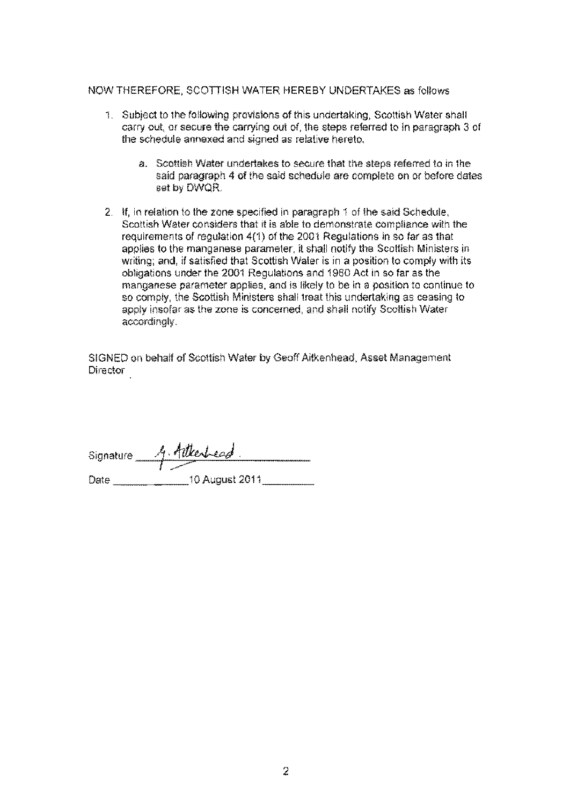#### NOW THEREFORE, SCOTTISH WATER HEREBY UNDERTAKES as follows

- 1. Subject to the following provisions of this undertaking, Scottish Water shall carry out, Of secure the carrying out of, the steps referred to in paragraph 3 of the schedule annexed and signed as relative hereto.
	- a. Scottish Water undertakes to secure that the steps referred to in the said paragraph 4 of the said schedule are complete on or before dates set by DWQR.
- 2. If, in relation to the zone specified in paragraph 1 of the said Schedule, Scottish Water considers that it is able to demonstrate compliance with the requirements of regulation 4(1) of the 2001 Regulations in so far as that applies to the manganese parameter, it shall notify the Scottish Ministers in writing; and, if satisfied that Scottish Water is in a position to comply with its obligations under the 2001 Regulations and 1980 Act in so far as the manganese parameter applies, and is likely to be in a position to continue to so comply, the Scottish Ministers shall treat this undertaking as ceasing to apply insofar as the zone is concerned, and shall notify Scottish Water accordingly.

SIGNED on behalf of Scottish Water by Geoff Aitkenhead, Asset Management Director

| Signature | A. Attentied   |
|-----------|----------------|
|           |                |
| Date      | 10 August 2011 |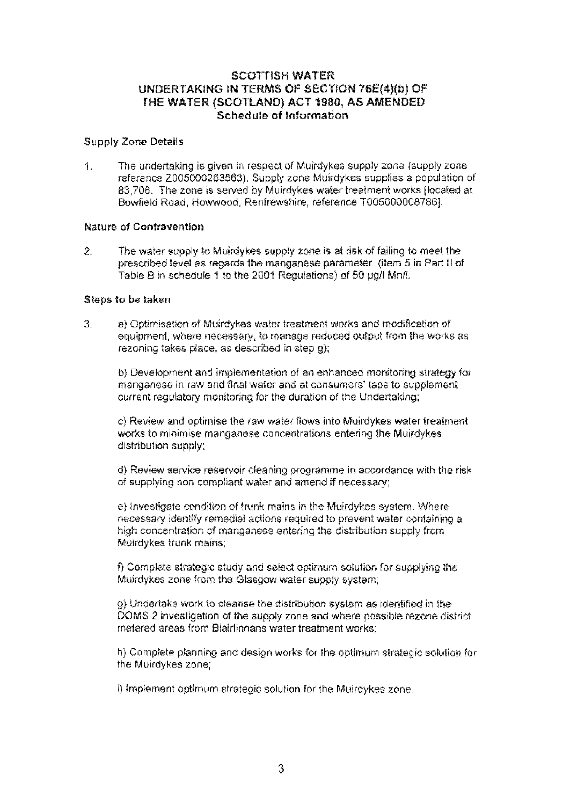# SCOTTISH WATER UNDERTAKING IN TERMS OF SECTION 76E(4)(b) OF THE WATER (SCOTLAND) ACT 1980, AS AMENDED Schedule of Information

#### Supply Zone Details

1. The undertaking is given in respect of Muirdykes supply zone (supply zone reference ZQ05000263563). Supply zone MUtrdykes supplies a population of 83,708. The zone is served by Muirdykes water treatment works [located at Bowfield Road, Howwood, Renfrewshire, reference T0050000087861.

#### Nature of Contravention

2. The water supply 10 Muirdykes supply zone is at risk of failing to meet 1he prescribed !evel as regards the manganese parameter {item 5 in Part II of Table B in schedule 1 to the 2001 Regulations) of 50 pg/l Mn/L

#### Steps to be taken

3. a} Optimisation of Mu;rdykes water treatment works and modification of equipment, where necessary, to manage reduced output from the works as rezoning takes place, as described in step g);

b) Development and implementation of an enhanced monitoring strategy for manganese in raw and final waier and at consumers' taps to supplement current regulatory monitoring for the duration of the Undertaking;

c) Review and optimise the raw water flows into Muirdykes water treatment works to minimise manganese concentrations entering the Muirdykes distribution supply;

d) Review service reservoir cleaning programme in accordance with the risk of supplying non compliant water and amend if necessary;

e) Investigate condition of trunk mains in the Muirdykes system, Where necessary identify remedial actions required to prevent water containing a high concentration of manganese entering the distribution supply from Muirdykes trunk mains;

f) Complete strategic study and select optimum solution for supplying the Muirdykes zone from lhe Glasgow water supply system,

g) Undertake work to cleanse the distribution system as identified in the DOMS 2 investigation of the supply zone and where passib!e rezone district metered areas from 81airlinnans water treatment works;

h) Complete planning and design works for the optimum strategic solution for the Muirdykes zone;

I) Implement optimum strategic solution for the Muirdykes zone.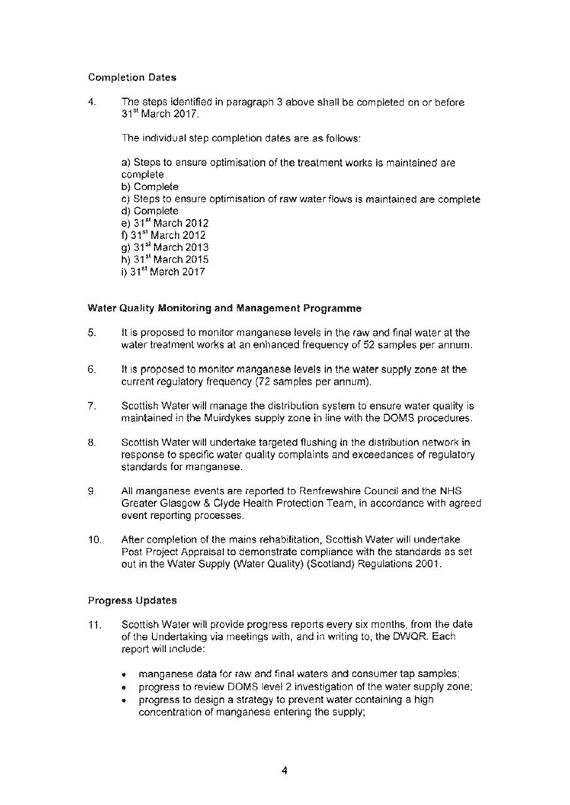## Completion Dates

4. The steps identified in paragraph 3 above shall be completed on or before <sup>31</sup>st March 2017.

The individual step completion dates are as follows:

a) Steps to ensure optimisation of the treatment works is maintained are complete b) Complete c) Steps to ensure optimisation of raw water flows is maintained are complete d) Complete e) 31" March 2012  $\overline{\text{D}}$  31<sup>st</sup> March 2012 g) 31" March 2013 h) 31" March 2015 i) 31<sup>st</sup> March 2017

## Water Quality Monitoring and Management Programme

- 5. It is proposed to monitor manganese levels in the raw and final water at the water treatment works at an enhanced frequency of 52 samples per annum.
- 6. It is proposed to monitor manganese levels in the water supply zone at the current regulatory frequency (72 samples per annum).
- 7. Scottish Water will manage the distribution system to ensure water quality is maintained in the Muirdykes supply zone in line with the DOMS procedures.
- 8. Scottish Water will undertake targeted flushing in the distribution network in response to specific water quality complaints and exceedances of regulatory standards for manganese.
- 9. All manganese events are reported to Renfrewshire Council and the NHS Greater Glasgow & Clyde Health Protection Team, in accordance with agreed event reporting processes.
- 10. After completion of the mains rehabilitation, Scottish Water will undertake Post Project Appraisal to demonstrate compliance with the standards as set out in the Water Supply (Water Quality) (Scotland) Regulations 2001.

## Progress Updates

- 11. Scottish Water will provide progress reports every six months, from the date of the Undertaking via meetings with, and in writing to, the DWQR. Each report will include:
	- manganese data for raw and final waters and consumer tap samples;
	- progress to review DOMS level 2 investigation of the water supply zone;
	- progress to design a strategy to prevent water containing a high concentration of manganese entering the supply;